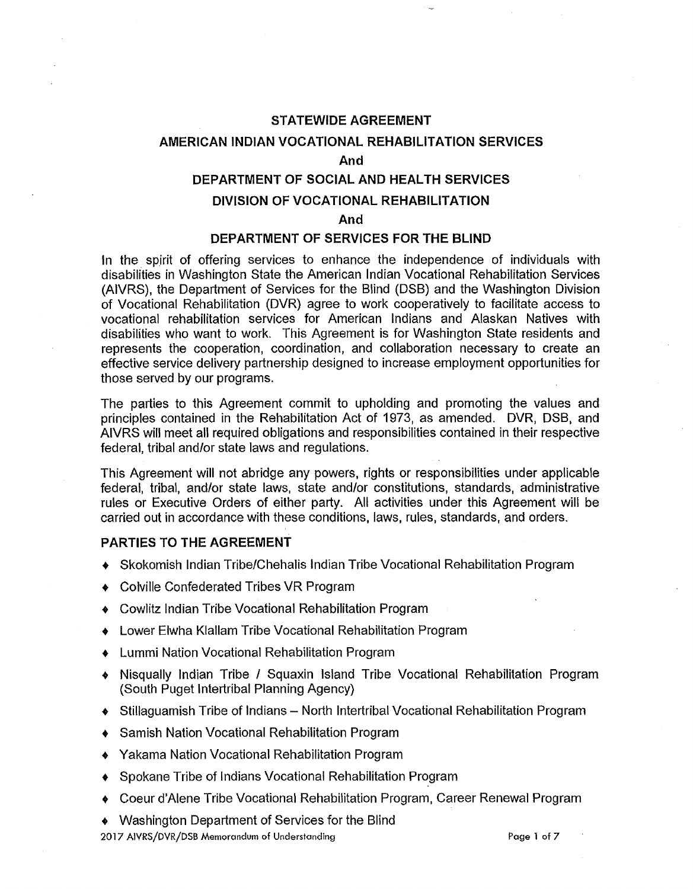## **STATEWIDE AGREEMENT**

#### **AMERICAN INDIAN VOCATIONAL REHABILITATION SERVICES**

**And** 

## **DEPARTMENT OF SOCIAL AND HEAL TH SERVICES**

## **DIVISION OF VOCATIONAL REHABILITATION**

**And** 

### **DEPARTMENT OF SERVICES FOR THE BLIND**

In the spirit of offering services to enhance the independence of individuals with disabilities in Washington State the American Indian Vocational Rehabilitation Services (AIVRS), the Department of Services for the Blind (DSB) and the Washington Division of Vocational Rehabilitation (DVR) agree to work cooperatively to facilitate access to vocational rehabilitation services for American Indians and Alaskan Natives with disabilities who want to work. This Agreement is for Washington State residents and represents the cooperation, coordination, and collaboration necessary to create an effective service delivery partnership designed to increase employment opportunities for those served by our programs.

The parties to this Agreement commit to upholding and promoting the values and principles contained in the Rehabilitation Act of 1973, as amended. DVR, DSB, and AIVRS will meet all required obligations and responsibilities contained in their respective federal, tribal and/or state laws and regulations.

This Agreement will not abridge any powers, rights or responsibilities under applicable federal, tribal, and/or state laws, state and/or constitutions, standards, administrative rules or Executive Orders of either party. All activities under this Agreement will be carried out in accordance with these conditions, laws, rules, standards, and orders.

### **PARTIES TO THE AGREEMENT**

- Skokomish Indian Tribe/Chehalis Indian Tribe Vocational Rehabilitation Program
- Colville Confederated Tribes VR Program
- Cowlitz Indian Tribe Vocational Rehabilitation Program
- Lower Elwha Klallam Tribe Vocational Rehabilitation Program
- Lummi Nation Vocational Rehabilitation Program
- Nisqually Indian Tribe / Squaxin Island Tribe Vocational Rehabilitation Program (South Puget lntertribal Planning Agency)
- Stillaguamish Tribe of Indians North lntertribal Vocational Rehabilitation Program
- Samish Nation Vocational Rehabilitation Program
- Yakama Nation Vocational Rehabilitation Program
- Spokane Tribe of Indians Vocational Rehabilitation Program
- Coeur d'Alene Tribe Vocational Rehabilitation Program, Career Renewal Program
- Washington Department of Services for the Blind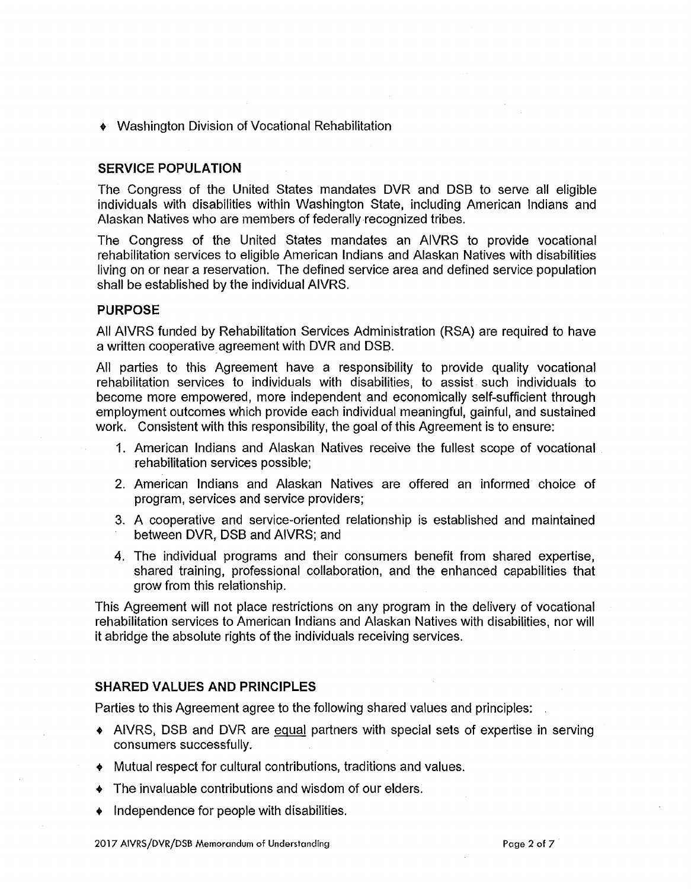• Washington Division of Vocational Rehabilitation

### **SERVICE POPULATION**

The Congress of the United States mandates DVR and DSB to serve all eligible individuals with disabilities within Washington State, including American Indians and Alaskan Natives who are members of federally recognized tribes.

The Congress of the United States mandates an AIVRS to provide vocational rehabilitation services to eligible American Indians and Alaskan Natives with disabilities living on or near a reservation. The defined service area and defined service population shall be established by the individual AIVRS.

#### **PURPOSE**

All AIVRS funded by Rehabilitation Services Administration (RSA) are required to have a written cooperative agreement with DVR and DSB.

All parties to this Agreement have a responsibility to provide quality vocational rehabilitation services to individuals with disabilities, to assist such individuals to become more empowered, more independent and economically self-sufficient through employment outcomes which provide each individual meaningful, gainful, and sustained work. Consistent with this responsibility, the goal of this Agreement is to ensure:

- 1. American Indians and Alaskan Natives receive the fullest scope of vocational rehabilitation services possible;
- 2. American Indians and Alaskan Natives are offered an informed choice of program, services and service providers;
- 3. A cooperative and service-oriented relationship is established and maintained between DVR, DSB and AIVRS; and
- 4. The individual programs and their consumers benefit from shared expertise, shared training, professional collaboration, and the enhanced capabilities that grow from this relationship.

This Agreement will not place restrictions on any program in the delivery of vocational rehabilitation services to American Indians and Alaskan Natives with disabilities, nor will it abridge the absolute rights of the individuals receiving services.

### **SHARED VALUES AND PRINCIPLES**

Parties to this Agreement agree to the following shared values and principles:

- AIVRS, DSB and DVR are equal partners with special sets of expertise in serving consumers successfully.
- Mutual respect for cultural contributions, traditions and values.
- The invaluable contributions and wisdom of our elders.
- Independence for people with disabilities.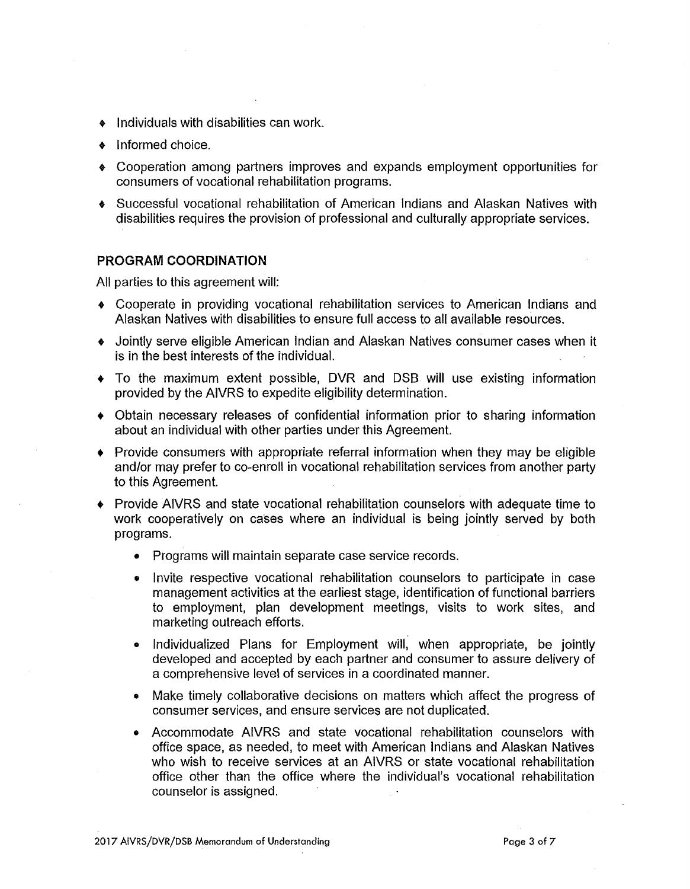- Individuals with disabilities can work.
- Informed choice.
- Cooperation among partners improves and expands employment opportunities for consumers of vocational rehabilitation programs.
- Successful vocational rehabilitation of American Indians and Alaskan Natives with disabilities requires the provision of professional and culturally appropriate services.

#### **PROGRAM COORDINATION**

All parties to this agreement will:

- Cooperate in providing vocational rehabilitation services to American Indians and Alaskan Natives with disabilities to ensure full access to all available resources.
- Jointly serve eligible American Indian and Alaskan Natives consumer cases when it is in the best interests of the individual.
- To the maximum extent possible, DVR and DSB will use existing information provided by the AIVRS to expedite eligibility determination.
- Obtain necessary releases of confidential information prior to sharing information about an individual with other parties under this Agreement.
- Provide consumers with appropriate referral information when they may be eligible and/or may prefer to co-enroll in vocational rehabilitation services from another party to this Agreement.
- Provide AIVRS and state vocational rehabilitation counselors with adequate time to work cooperatively on cases where an individual is being jointly served by both programs.
	- Programs will maintain separate case service records.
	- Invite respective vocational rehabilitation counselors to participate in case management activities at the earliest stage, identification of functional barriers to employment, plan development meetings, visits to work sites, and marketing outreach efforts.
	- Individualized Plans for Employment will, when appropriate, be jointly developed and accepted by each partner and consumer to assure delivery of a comprehensive level of services in a coordinated manner.
	- Make timely collaborative decisions on matters which affect the progress of consumer services, and ensure services are not duplicated.
	- Accommodate AIVRS and state vocational rehabilitation counselors with office space, as needed, to meet with American Indians and Alaskan Natives who wish to receive services at an AIVRS or state vocational rehabilitation office other than the office where the individual's vocational rehabilitation counselor is assigned.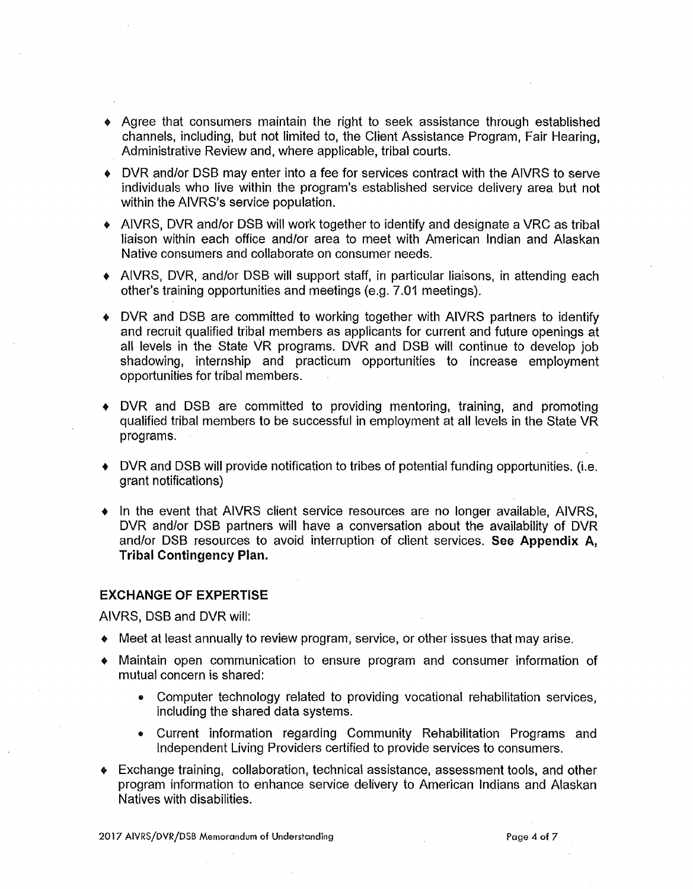- Agree that consumers maintain the right to seek assistance through established channels, including, but not limited to, the Client Assistance Program, Fair Hearing, Administrative Review and, where applicable, tribal courts.
- DVR and/or DSB may enter into a fee for services contract with the AIVRS to serve individuals who live within the program's established service delivery area but not within the AIVRS's service population.
- AIVRS, DVR and/or DSB will work together to identify and designate a VRC as tribal liaison within each office and/or area to meet with American Indian and Alaskan Native consumers and collaborate on consumer needs.
- AIVRS, DVR, and/or DSB will support staff, in particular liaisons, in attending each other's training opportunities and meetings (e.g. 7.01 meetings).
- OVR and DSB are committed to working together with AIVRS partners to identify and recruit qualified tribal members as applicants for current and future openings at all levels in the State VR programs. DVR and DSB will continue to develop job shadowing, internship and practicum opportunities to increase employment opportunities for tribal members.
- DVR and DSB are committed to providing mentoring, training, and promoting qualified tribal members to be successful in employment at all levels in the State VR programs.
- DVR and DSB will provide notification to tribes of potential funding opportunities. (i.e. grant notifications)
- In the event that AIVRS client service resources are no longer available, AIVRS, DVR and/or DSB partners will have a conversation about the availability of DVR and/or DSB resources to avoid interruption of client services. **See Appendix A, Tribal Contingency Plan.**

#### **EXCHANGE OF EXPERTISE**

AIVRS, DSB and DVR will:

- Meet at least annually to review program, service, or other issues that may arise.
- Maintain open communication to ensure program and consumer information of mutual concern is shared:
	- Computer technology related to providing vocational rehabilitation services, including the shared data systems.
	- Current information regarding Community Rehabilitation Programs and Independent Living Providers certified to provide services to consumers.
- Exchange training, collaboration, technical assistance, assessment tools, and other program information to enhance service delivery to American Indians and Alaskan Natives with disabilities.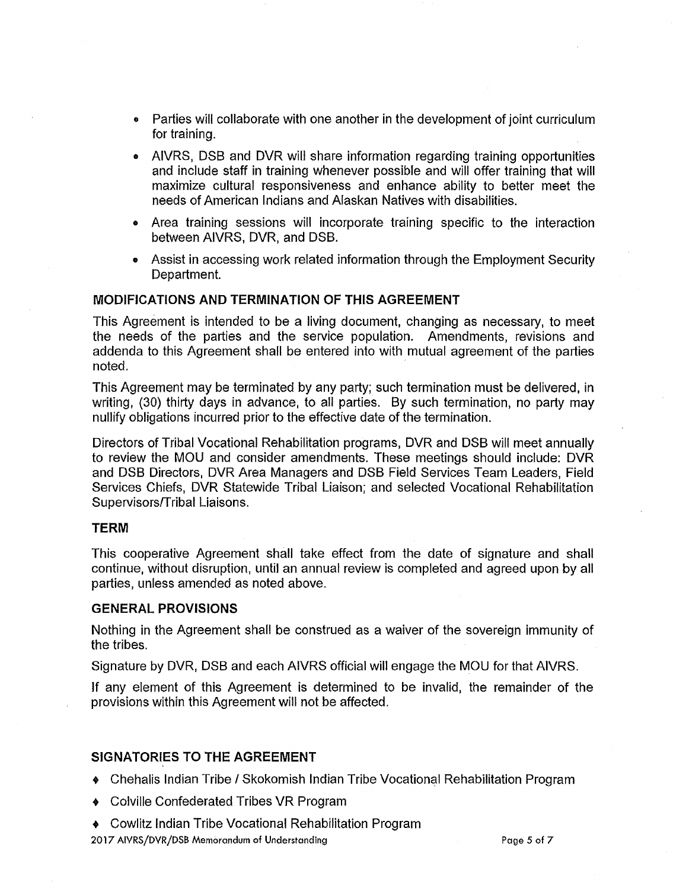- Parties will collaborate with one another in the development of joint curriculum for training.
- AIVRS, DSB and DVR will share information regarding training opportunities and include staff in training whenever possible and will offer training that will maximize cultural responsiveness and enhance ability to better meet the needs of American Indians and Alaskan Natives with disabilities.
- Area training sessions will incorporate training specific to the interaction between AIVRS, DVR, and DSB.
- Assist in accessing work related information through the Employment Security Department.

### **MODIFICATIONS AND TERMINATION OF THIS AGREEMENT**

This Agreement is intended to be a living document, changing as necessary, to meet the needs of the parties and the service population. Amendments, revisions and addenda to this Agreement shall be entered into with mutual agreement of the parties  $\blacksquare$ noted.  $\blacksquare$ 

This Agreement may be terminated by any party; such termination must be delivered, in writing, (30) thirty days in advance, to all parties. By such termination, no party may nullify obligations incurred prior to the effective date of the termination.

Directors of Tribal Vocational Rehabilitation programs, DVR and DSB will meet annually to review the MOU and consider amendments. These meetings should include: DVR and DSB Directors, DVR Area Managers and DSB Field Services Team Leaders, Field Services Chiefs, DVR Statewide Tribal Liaison; and selected Vocational Rehabilitation Supervisors/Tribal Liaisons.

#### **TERM**

This cooperative Agreement shall take effect from the date of signature and shall continue, without disruption, until an annual review is completed and agreed upon by all parties, unless amended as noted above.

### **GENERAL PROVISIONS**

Nothing in the Agreement shall be construed as a waiver of the sovereign immunity of the tribes.

Signature by DVR, DSB and each AIVRS official will engage the MOU for that AIVRS.

If any element of this Agreement is determined to be invalid, the remainder of the provisions within this Agreement will not be affected.

### **SIGNATORIES TO THE AGREEMENT**

- Chehalis Indian Tribe/ Skokomish Indian Tribe Vocational Rehabilitation Program
- Colville Confederated Tribes VR Program
- Cowlitz Indian Tribe Vocational Rehabilitation Program 20 **l** 7 AIVRS/DVR/DSB Memorandum of Understanding Page 5 of 7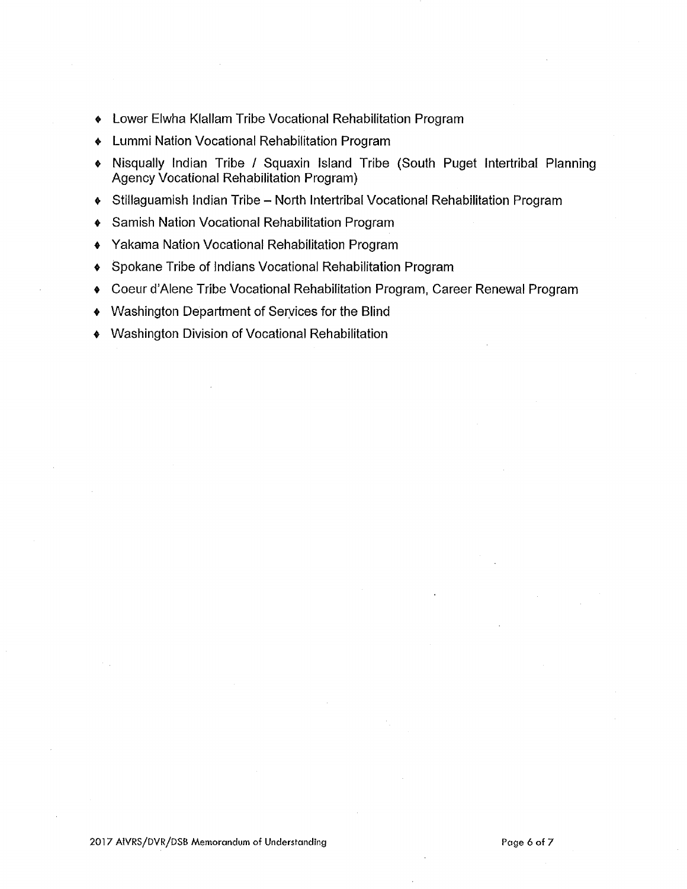- Lower Elwha Klallam Tribe Vocational Rehabilitation Program
- Lummi Nation Vocational Rehabilitation Program
- Nisqually Indian Tribe / Squaxin Island Tribe (South Puget lntertribal Planning Agency Vocational Rehabilitation Program)
- Stillaguamish Indian Tribe North Intertribal Vocational Rehabilitation Program
- Samish Nation Vocational Rehabilitation Program
- Yakama Nation Vocational Rehabilitation Program
- Spokane Tribe of Indians Vocational Rehabilitation Program
- Coeur d'Alene Tribe Vocational Rehabilitation Program, Career Renewal Program
- Washington Department of Seryices for the Blind
- Washington Division of Vocational Rehabilitation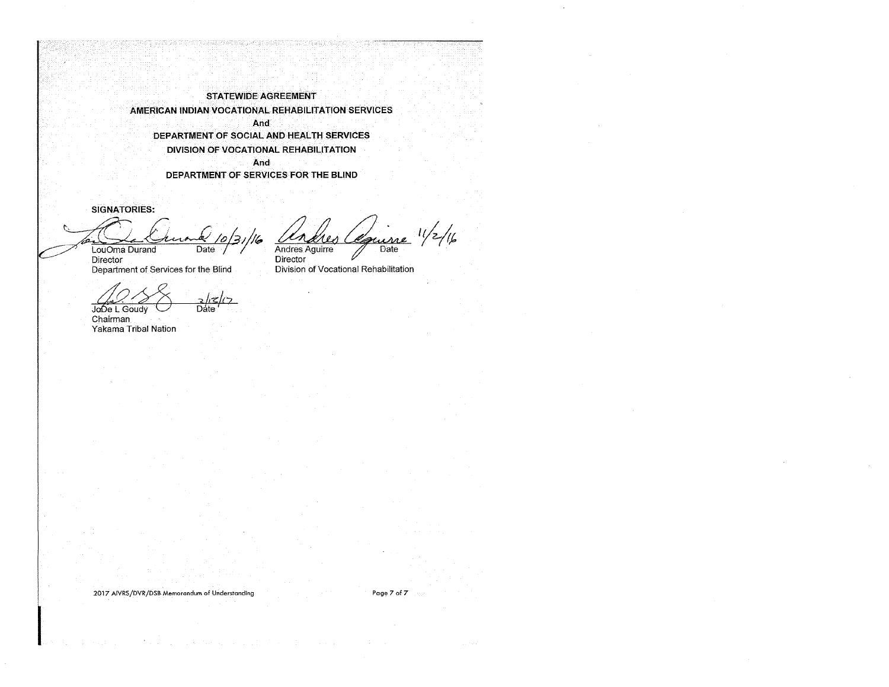**STATEWIDE AGREEMENT AMERICAN INDIAN VOCATIONAL REHABILITATION SERVICES And DEPARTMENT OF SOCIAL AND HEAL TH SERVICES DIVISION OF VOCATIONAL REHABIL.ITATION And DEPARTMENT OF SERVICES FOR THE BLIND** 

**SIGNATORIES:** 

<sup>10</sup> Louvelle de la Vierne de la 10/3

*ty{/r;,* Andres Aguirre Date

Director Department of Services for the Blind

Director<br>Division of Vocational Rehabilitation

JoDe L Goudy **Date** 

**Chairman** Yakama Tribal Nation

2017 AIVRS/DVR/DSB Memorandum of Understanding Page 7 of 7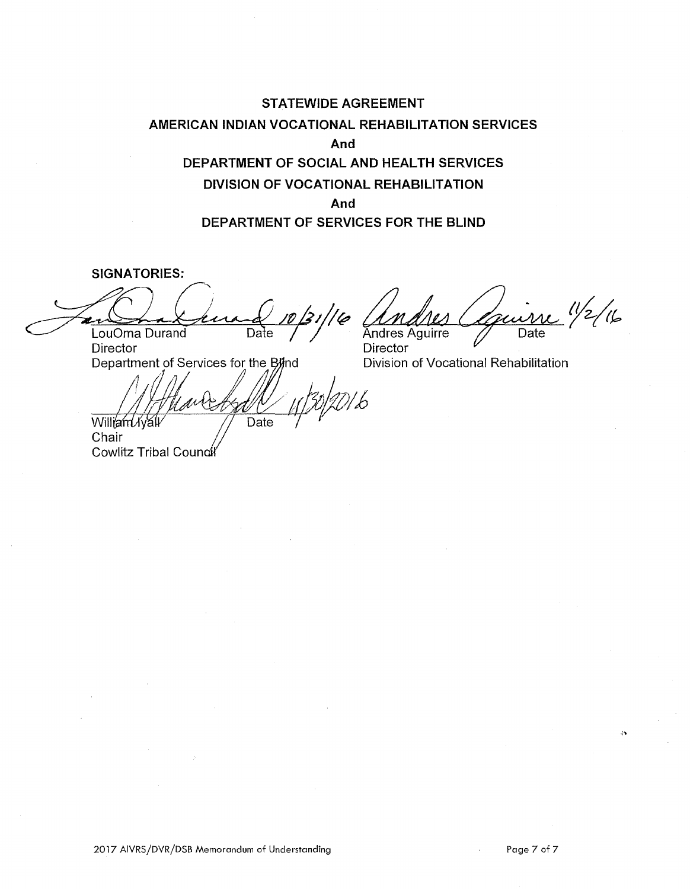## **STATEWIDE AGREEMENT AMERICAN INDIAN VOCATIONAL REHABILITATION SERVICES And DEPARTMENT OF SOCIAL AND HEALTH SERVICES DIVISION OF VOCATIONAL REHABILITATION And DEPARTMENT OF SERVICES FOR THE BLIND**

**SIGNATORIES:** 

Jan Laura 10/31/16 Andres Courrie 1/2/16 **Director** 

Date

Department of Services for the Blind

William Nyall Chair Cowlitz Tribal Coun

**Director** Division of Vocational Rehabilitation

 $\mathbf{a}$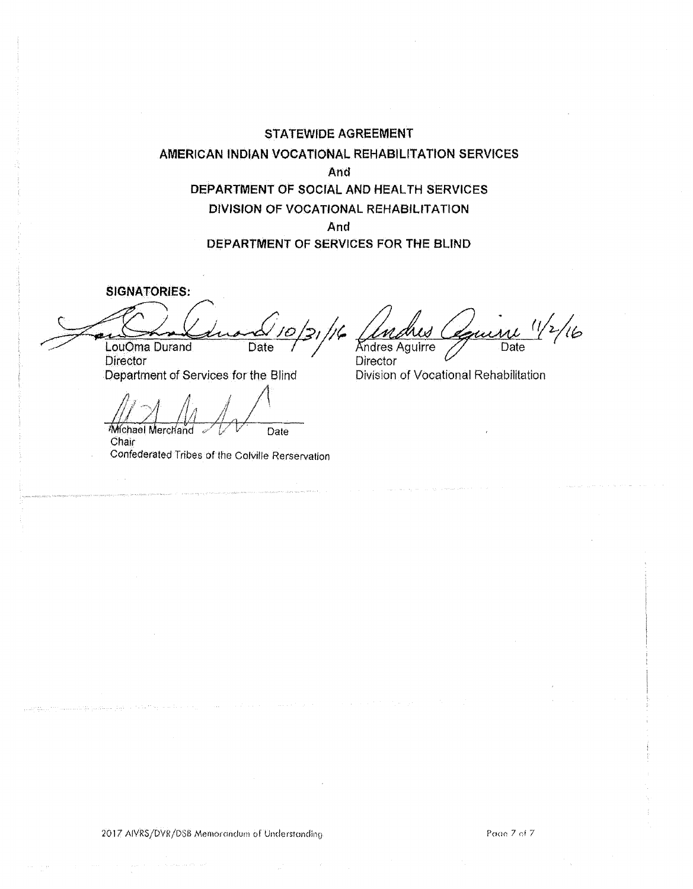**STATEWIDE AGREEMENT AMERICAN INDIAN VOCATIONAL REHABILITATION SERVJCES And DEPARTMENT OF SOCJAL ANO HEAL TH SERVICES OtVISION OF VOCATIONAL REHABILITATION And DEPARTMENT OF SERVICES FOR THE BLIND** 

**SIGNATORIES:** 

 $\hat{L}$  ,  $\hat{L}$ 

**Combinance** 10/31/16 LouOma Durand Date **Director** 

Department of Services for the Blind

*/* /\  $-$ Michael Merchand  $\sqrt{V}$  Date

**Chair** 

Confederated Tribes of the Colville Rerservation

 $~\frac{1}{\frac{1}{\frac{1}{\sqrt{6}}}}$ Andres Aguirre

**Director** Division of Vocational Rehabilitation

Page 7 of 7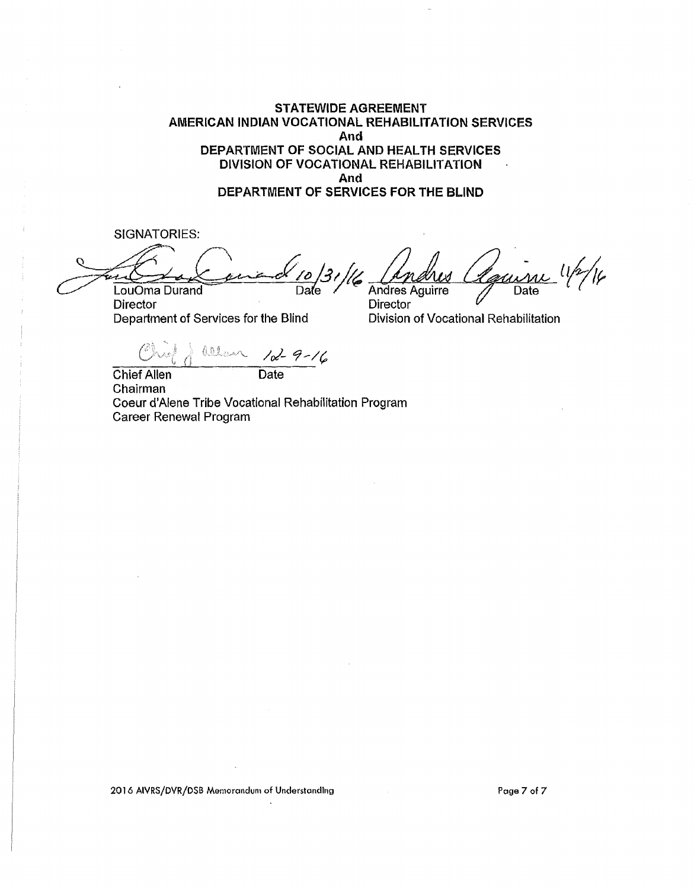**STATEWIDE AGREEMENT AMERICAN INDIAN VOCATIONAL REHABILITATION SERVICES And DEPARTMENT OF SOCIAL AND HEALTH SERVICES DIVISION OF VOCATIONAL REHABILITATION And DEPARTMENT OF SERVICES FOR THE BLIND** 

SIGNATORIES:

SIGNATORIES:<br>Contract 10/31/16 Andres Courne 1/2/16 Andres *Aguine* 1/2/16

**Director** Director Department of Services for the Blind Division of Vocational Rehabilitation

 $\int_{0}^{1}$  <sup>(ellow</sup>) 1x-9-16

Chief Allen **Date** Chairman Coeur d'Alene Tribe Vocational Rehabilitation Program Career Renewal Program

2016 AIVRS/DVR/DSB Memorandum of Understanding Page 7 of 7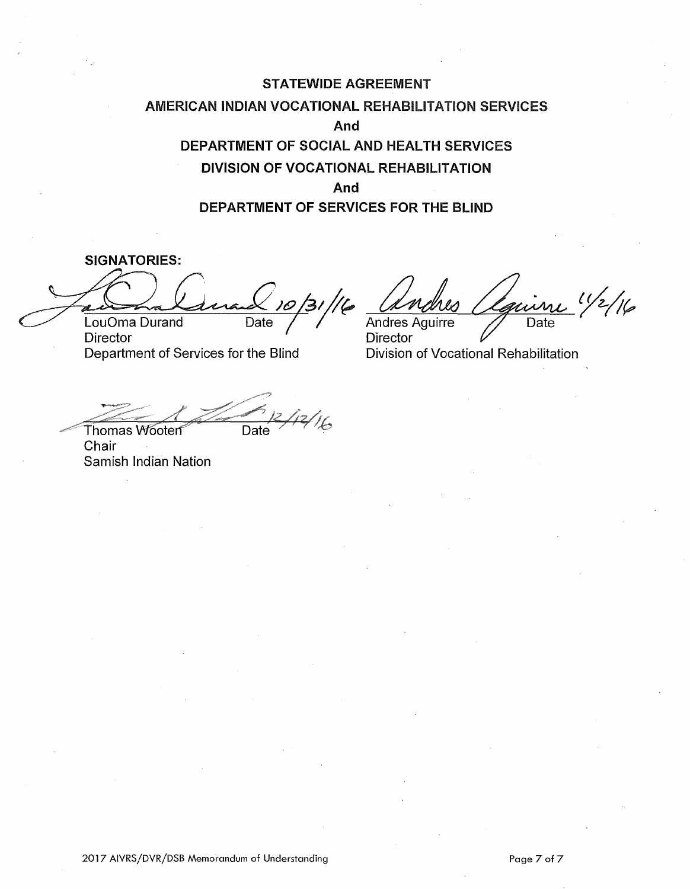# **STATEWIDE AGREEMENT AMERICAN INDIAN VOCATIONAL** REHABILITATION SERVICES **And DEPARTMENT OF SOCIAL AND HEAL TH SERVICES DIVISION OF VOCATIONAL REHABILITATION And DEPARTMENT OF SERVICES FOR THE BLIND**

**SIGNATORIES:**  *-r~~~~~~~~/l§:\_07\_/4;31 f?,*  LouOma Durand 10/31/16 *(Andres Véguirre <sup>11/2</sup>/16*<br>LouOma Durand Date / <sup>Andres</sup> Aguirre Date

Director **Director**<br>Director Department of Services for the Blind **Division** 

Division of Vocational Rehabilitation

Date

Thomas Wooten **Chair** Samish Indian Nation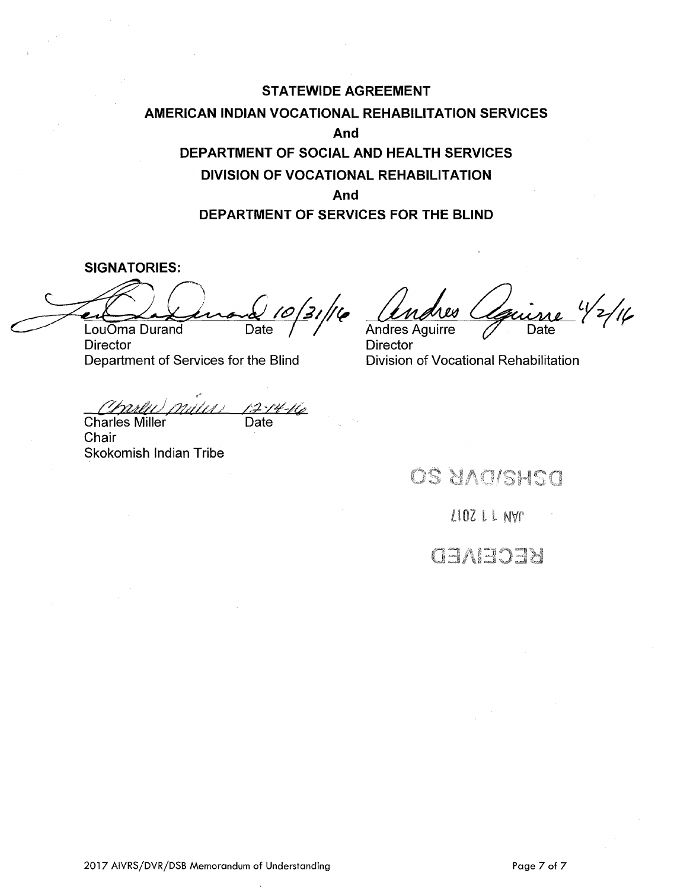# **STATEWIDE AGREEMENT AMERICAN INDIAN VOCATIONAL REHABILITATION SERVICES And DEPARTMENT OF SOCIAL AND HEALTH SERVICES DIVISION OF VOCATIONAL REHABILITATION And DEPARTMENT OF SERVICES FOR THE BLIND**

**SIGNATORIES:** 

LouOma Durand Date

Director<br>Director<br>Division of Vocational Rehabilitation Department of Services for the Blind

,· <u>Charlus mutus 12-14-16</u> Charles Miller **Date** 

**Chair** Skokomish Indian Tribe

-<br><u>Cone</u> 1/2/16<br>Date

Andres Aguirre

OS UNCISHSC

 $2102 LLM$ 

danada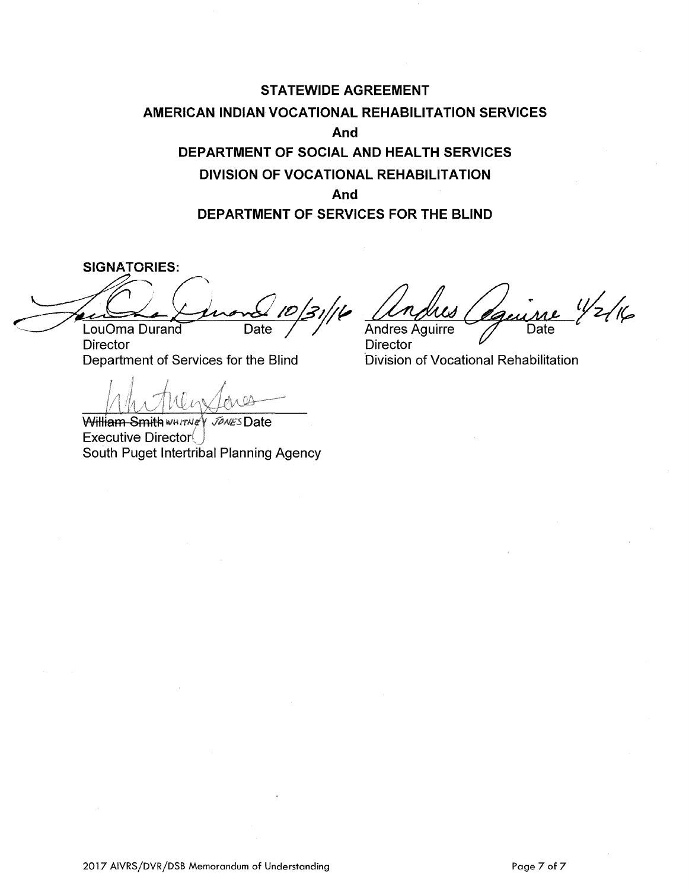# **STATEWIDE AGREEMENT AMERICAN INDIAN VOCATIONAL REHABILITATION SERVICES And DEPARTMENT OF SOCIAL AND HEALTH SERVICES DIVISION OF VOCATIONAL REHABILITATION And DEPARTMENT OF SERVICES FOR THE BLIND**

**SIGNATORIES:**  SNATORIES:<br>(Quand 10/31/16 Lou Oma Durand Date

**Director** Department of Services for the Blind

 $\bigwedge$ 

William Smith www.vey Jones Date  $Executive$  Director $($ South Puget lntertribal Planning Agency

<u>Modres Céguine</u> 1/2/16

**Director** ·Division of Vocational Rehabilitation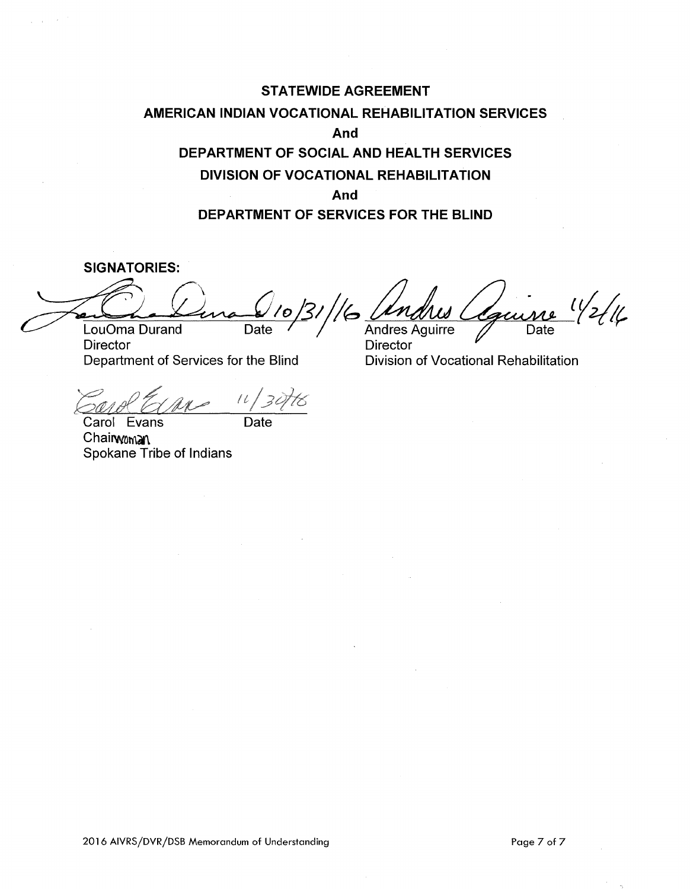# **STATEWIDE AGREEMENT AMERICAN INDIAN VOCATIONAL REHABILITATION SERVICES And DEPARTMENT OF SOCIAL AND HEAL TH SERVICES DIVISION OF VOCATIONAL REHABILITATION And DEPARTMENT OF SERVICES FOR THE BLIND**

**SIGNATORIES:** 

 $\sim$ 

SIGNATORIES:<br>Couoma Durand Date 10/31/16 *dn.dius Course* 1/2/16 <u>Loudma Durand Date</u> / 0/31/16 <u>Undres</u>

Director **Director** Director

Barol Express 11/30th

Carol Evans Date Chairwoman Spokane Tribe of Indians

Department of Services for the Blind Division of Vocational Rehabilitation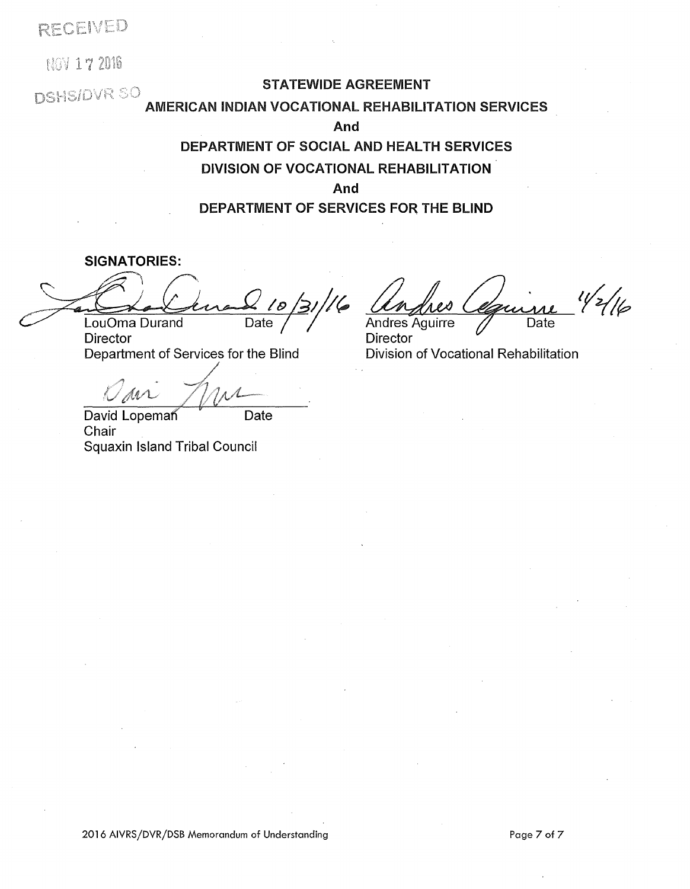RECEIVED

**NOV 17 2016** 

## STATEWIDE AGREEMENT

## **DSHS/DVR SO** AMERICAN INDIAN VOCATIONAL REHABILITATION SERVICES

**And** 

# **DEPARTMENT OF SOCIAL AND HEAL TH SERVICES DIVISION OF VOCATIONAL REHABILITATION And**

**DEPARTMENT OF SERVICES FOR THE BLIND** 

SIGNATORIES: LouOma Durand Date

Director Department of Services for the Blind

9 avr 1 pm

David Lopeman **Date** Chair Squaxin Island Tribal Council

 $\sqrt[3]{216}$ Date

Andres Aguirre Director<br>Division of Vocational Rehabilitation